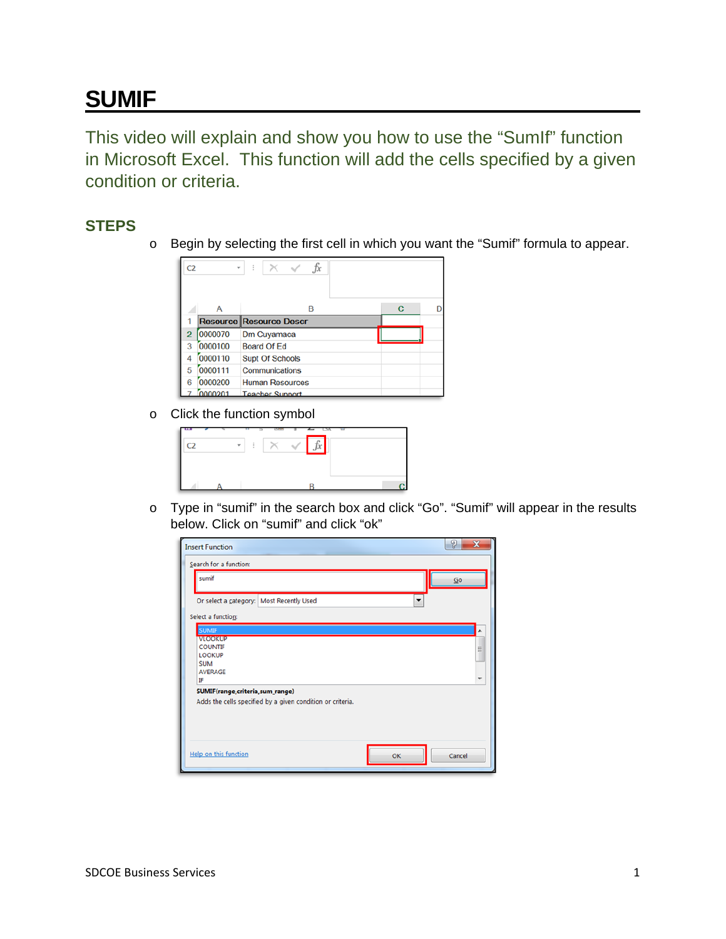## **SUMIF**

This video will explain and show you how to use the "SumIf" function in Microsoft Excel. This function will add the cells specified by a given condition or criteria.

## **STEPS**

o Begin by selecting the first cell in which you want the "Sumif" formula to appear.



o Click the function symbol

| <b>STAR</b> |   | <b>Thomas</b> | <b>STA</b> |  |
|-------------|---|---------------|------------|--|
|             | v |               |            |  |
|             |   |               |            |  |
|             |   |               |            |  |
|             |   |               |            |  |

o Type in "sumif" in the search box and click "Go". "Sumif" will appear in the results below. Click on "sumif" and click "ok"

| <b>Insert Function</b>                            |                                                            |    | P<br>$\mathbf x$ |
|---------------------------------------------------|------------------------------------------------------------|----|------------------|
| Search for a function:                            |                                                            |    |                  |
| sumif                                             |                                                            |    | Go               |
| Or select a category: Most Recently Used          |                                                            |    |                  |
| Select a function:                                |                                                            |    |                  |
| <b>SUMIF</b>                                      |                                                            |    |                  |
| <b>VLOOKUP</b><br><b>COUNTIF</b><br><b>LOOKUP</b> |                                                            |    | Ξ                |
| <b>SUM</b><br><b>AVERAGE</b>                      |                                                            |    |                  |
| IF<br>SUMIF(range, criteria, sum_range)           |                                                            |    |                  |
|                                                   | Adds the cells specified by a given condition or criteria. |    |                  |
|                                                   |                                                            |    |                  |
|                                                   |                                                            |    |                  |
| <b>Help on this function</b>                      |                                                            | OK | Cancel           |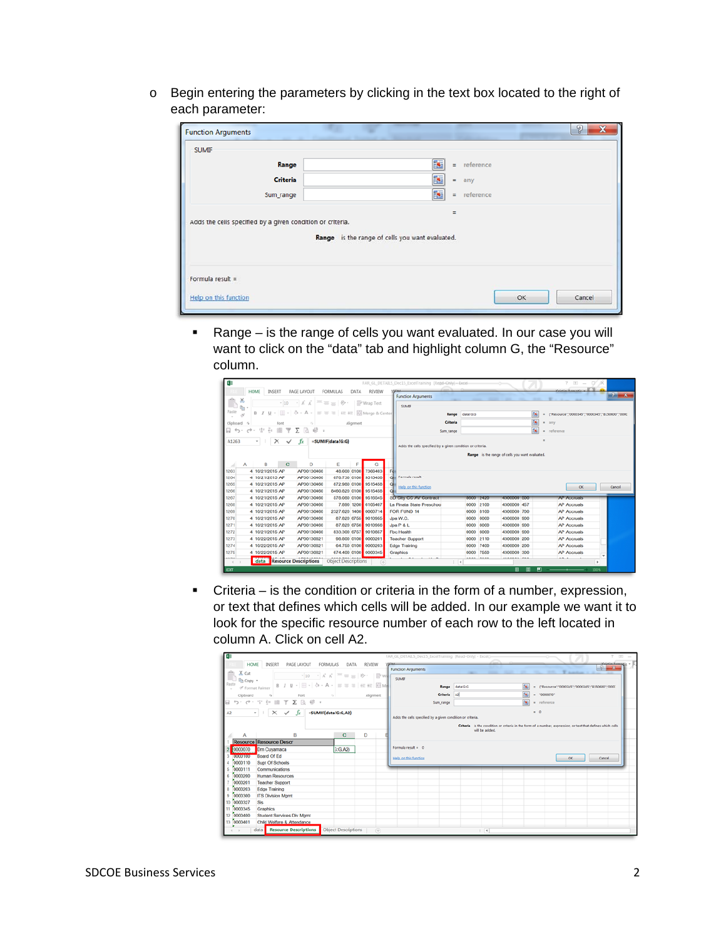o Begin entering the parameters by clicking in the text box located to the right of each parameter:

| <b>Function Arguments</b>                                                                                     |               | စွ            |  |  |  |
|---------------------------------------------------------------------------------------------------------------|---------------|---------------|--|--|--|
| <b>SUMIF</b>                                                                                                  |               |               |  |  |  |
| Range                                                                                                         | 嶐             | $=$ reference |  |  |  |
| <b>Criteria</b>                                                                                               | K<br>$=$      | any           |  |  |  |
| Sum_range                                                                                                     | 嶐<br>$\equiv$ | reference     |  |  |  |
|                                                                                                               | $\equiv$      |               |  |  |  |
| Adds the cells specified by a given condition or criteria.<br>Range is the range of cells you want evaluated. |               |               |  |  |  |
| Formula result =                                                                                              |               |               |  |  |  |
| Help on this function                                                                                         |               | Cancel<br>OK  |  |  |  |

 Range – is the range of cells you want evaluated. In our case you will want to click on the "data" tab and highlight column G, the "Resource" column.

|                                                                                                                                    | $7 - 10 - 1$<br>FAR GL DETAILS Dec15 ExcelTraining [Read-Only]-Excel<br>$\overline{a}$                                     |
|------------------------------------------------------------------------------------------------------------------------------------|----------------------------------------------------------------------------------------------------------------------------|
| HOME<br>INSERT<br>PAGE LAYOUT<br><b>FORMULAS</b><br>DATA<br><b>REVIEW</b>                                                          | <b>Contact construction</b><br>$-2 - x$<br><b>Function Arguments</b>                                                       |
| $\chi$<br>$\cdot$ $\wedge$ $\wedge$ $=$ $=$ $\Rightarrow$ $\otimes$ $\cdot$<br>$-10$<br>P Wrap Text                                | <b>The Contract</b><br>٠                                                                                                   |
| $n$ .<br>Paste<br>田· ゟ - A - = = = et et 目Merge & Center<br>$U -$                                                                  | <b>SUMPE</b>                                                                                                               |
| A                                                                                                                                  | ß.<br>data/G/G<br>Range<br>FResource*:"0000345":"0000345":"8150600":"0000                                                  |
| Clipboard 5<br>Alignment<br>Font                                                                                                   | $\overline{a}$<br>Criteria<br>$\sim$<br>any                                                                                |
| $\mathcal{V}_{\mathrm{eff}}^{\mathrm{H},\mathrm{G}}$<br>48<br>$\rightarrow$<br>谊<br>Ψ<br>$\leftrightarrow$<br>÷.<br>Σ<br>- 16      | $\overline{a}$<br>reference<br>Sum range<br>٠                                                                              |
| $\times$<br>$\checkmark$<br>fr.<br>=SUMIF(data!G:G)<br>A1263                                                                       |                                                                                                                            |
|                                                                                                                                    | Adds the cells specified by a given condition or criteria.                                                                 |
|                                                                                                                                    | Range is the range of cells you want evaluated.                                                                            |
| $\mathbf{D}$<br>E<br>R<br>$\mathbf c$<br>Α<br>G                                                                                    |                                                                                                                            |
| 7366403<br>4 10/21/2015 AP<br>AP00130460<br>48,600 0100<br>1263                                                                    |                                                                                                                            |
| 070.730 0100<br>9515450<br>1264<br>4 10/21/2015 AP<br>AP00130460                                                                   | Ca. Formula result -                                                                                                       |
| 872.980 0100<br>9515458<br>1265<br>4 10/21/2015 AP<br>AP00130460<br>Q                                                              | Help on this function<br>OK:<br>Cancel                                                                                     |
| 1266<br>4 10/21/2015 AP<br>AP00130460<br>8460.820 0100<br>9515458                                                                  | 8600 2420<br>48400000 500                                                                                                  |
| 1267<br>AP00130460<br>578,080 0100<br>9516545<br>4 10/21/2015 AP<br>7,890 1200<br>6105407<br>1268<br>4 10/21/2015 AP<br>AP00130460 | SD City CC AV Contract<br><b>AP Accrua's</b><br>La Pinata State Preschoo<br>0000 2100<br>4300000 457<br><b>AP Accruals</b> |
| 0000714<br>1269<br>4 10/21/2015 AP<br>AP00130460<br>2327.620 1400                                                                  | FOR FUND 14<br>0000<br>8100<br>4300000 700<br><b>AP Accruals</b>                                                           |
| 1270<br>AP00130460<br>87.820 6755<br>9010955<br>4 10/21/2015 AP                                                                    | Jpa W.C.<br>6000<br>4300000 900<br>0000<br><b>AP Accruals</b>                                                              |
| 1271<br>9010956<br>4 10/21/2015 AP<br>AP00130460<br>87.820 6756                                                                    | Jpa P & L<br>0000<br>6000<br>4300000 900<br><b>AP Accruals</b>                                                             |
| 1272<br>4 10/21/2015 AP<br>AP00130460<br>833,300 6757<br>9010857                                                                   | 0000<br>6000<br>4300000 900<br>Fbc Health<br><b>AP Accruals</b>                                                            |
| 1273<br>0000201<br>4 10/22/2015 AP<br>AP00130821<br>98,800 0100                                                                    | <b>Teacher Support</b><br>0000<br>2110<br>4300000 200<br><b>AP Accruals</b>                                                |
| 1274<br>4 10/22/2015 AP<br>AP00130821<br>64.750 0100<br>0000203                                                                    | 0000<br>7400<br>Edge Training<br>4300000 200<br><b>AP Accruals</b>                                                         |
| 1275<br>4 10/22/2015 AP<br>AP00130821<br>674,400 0100<br>0000345                                                                   | 0000 7550<br>4300000 300<br><b>AP Accruals</b><br><b>Graphics</b><br>٠                                                     |
| <br>data <b>Resource Descriptions</b><br><b>Object Descriptions</b><br>œ<br>$\sim$                                                 | $-$<br>**** ****<br><br>$\rightarrow$<br>٠                                                                                 |
| EDIT                                                                                                                               | 囲<br>ш<br>100%                                                                                                             |

 Criteria – is the condition or criteria in the form of a number, expression, or text that defines which cells will be added. In our example we want it to look for the specific resource number of each row to the left located in column A. Click on cell A2.

| E)                                                                                                                                                                                                                                                                                                                                                                                                                                                                                                                                                                                                                                                                                                        | $7 - 10 - 10$<br>FAR GL DETAILS Dec15 ExcelTraining (Read-Only) - Excelti-                                                                                                                                                                                         |
|-----------------------------------------------------------------------------------------------------------------------------------------------------------------------------------------------------------------------------------------------------------------------------------------------------------------------------------------------------------------------------------------------------------------------------------------------------------------------------------------------------------------------------------------------------------------------------------------------------------------------------------------------------------------------------------------------------------|--------------------------------------------------------------------------------------------------------------------------------------------------------------------------------------------------------------------------------------------------------------------|
| HOME<br>INSERT<br>PAGE LAYOUT<br>FORMULAS<br>DATA<br>REVIEW<br>X Cut<br>$\cdot$ 10 $\cdot$ A A $\equiv$ = = $\gg$ $\cdot$ Pw<br><b>In Copy</b> *<br>B J U - 田 - ウ - A - IS S = IEE 田 田 Me<br>of Format Painter<br>Alignment<br>Clipboard<br>Fort<br>$\sim$<br>$\begin{array}{ccccccccc} \mathfrak{h}_1 & \mathfrak{h}_2 & \mathfrak{h}_3 & \mathfrak{h}_4 & \mathfrak{h}_5 & \mathfrak{h}_6 & \mathfrak{h}_7 & \mathfrak{h}_8 & \mathfrak{h}_8 & \mathfrak{h}_8 & \mathfrak{h}_8 & \mathfrak{h}_8 & \mathfrak{h}_8 & \mathfrak{h}_8 & \mathfrak{h}_8 & \mathfrak{h}_8 & \mathfrak{h}_8 & \mathfrak{h}_8 & \mathfrak{h}_8 & \mathfrak{h}_8 & \mathfrak{h}_8 & \mathfrak{h}_8 & \mathfrak{h}_8 & \mathfrak$ | <b>GENALL</b><br>$-2-x$<br><b>Function Arguments</b><br>and the two tree Wanders of<br><b>SUMP</b><br>= {'Resource":"0000345":"0000345":"8150600":"0000<br>Range data/G/G<br>Criteria A2<br>$= 70000070$<br>$\overline{16}$<br>= reference<br>Sum range            |
| $\cdot$ $\mid$ $\times$ $\times$ $f_x$<br>=SUMIF(datalG:G,A2)<br>A <sub>2</sub><br>B<br>$\mathbf{C}$<br>D<br>А<br>Resource Resource Descr<br>0000070 Dm Cuyamaca<br>3:6.421<br>Board Of Ed<br>10000100<br>0000110<br>Supt Of Schools<br>4                                                                                                                                                                                                                                                                                                                                                                                                                                                                 | $-0$<br>Adds the cells specified by a given condition or criteria.<br>Criteria is the condition or criteria in the form of a number, expression, or text that defines which cells<br>will be added.<br>Formula result = 0<br>Help on this function<br>OK<br>Cancel |
| 0000111<br>Communications<br>5<br>0000200<br><b>Human Resources</b><br>6<br>0000201<br><b>Teacher Support</b><br>0000203<br>Edge Training<br>8<br>0000300<br>$\mathbf{9}$<br><b>ITS Division Mamt</b><br>10 0000327<br>Sis<br>0000345<br>Graphics<br>11<br>12 0000400<br>Student Services Div Mamt<br>13 0000401<br>Child Welfare & Attendance<br><b>Object Descriptions</b><br>data <b>Resource Descriptions</b><br>$(+)$                                                                                                                                                                                                                                                                                | $\left  \cdot \right $                                                                                                                                                                                                                                             |